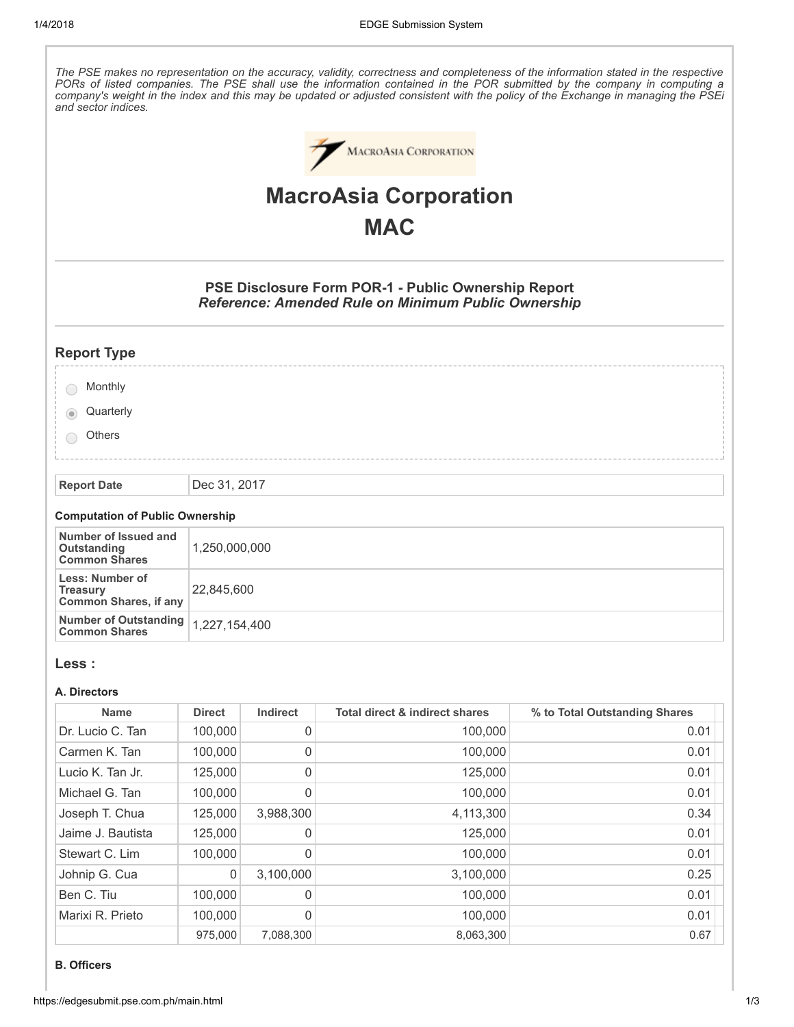The PSE makes no representation on the accuracy, validity, correctness and completeness of the information stated in the respective PORs of listed companies. The PSE shall use the information contained in the POR submitted by the company in computing a company's weight in the index and this may be updated or adjusted consistent with the policy of the Exchange in managing the PSEi and sector indices.



# MacroAsia Corporation **MAC**

# PSE Disclosure Form POR-1 - Public Ownership Report Reference: Amended Rule on Minimum Public Ownership

# Report Type

| Monthly |
|---------|
|         |

**Quarterly** 6

**Others** 

Report Date | Dec 31, 2017

#### Computation of Public Ownership

| Number of Issued and<br>Outstanding<br><b>Common Shares</b>         | 1,250,000,000 |
|---------------------------------------------------------------------|---------------|
| Less: Number of<br><b>Treasury</b><br><b>Common Shares, if any</b>  | 22.845.600    |
| Number of Outstanding $\big  1,227,154,400$<br><b>Common Shares</b> |               |

### Less :

#### A. Directors

| <b>Name</b>       | <b>Direct</b> | <b>Indirect</b> | Total direct & indirect shares | % to Total Outstanding Shares |
|-------------------|---------------|-----------------|--------------------------------|-------------------------------|
| Dr. Lucio C. Tan  | 100,000       | 0               | 100,000                        | 0.01                          |
| Carmen K. Tan     | 100,000       | 0               | 100,000                        | 0.01                          |
| Lucio K. Tan Jr.  | 125,000       | 0               | 125,000                        | 0.01                          |
| Michael G. Tan    | 100,000       | 0               | 100,000                        | 0.01                          |
| Joseph T. Chua    | 125,000       | 3,988,300       | 4,113,300                      | 0.34                          |
| Jaime J. Bautista | 125,000       | 0               | 125,000                        | 0.01                          |
| Stewart C. Lim    | 100,000       | 0               | 100,000                        | 0.01                          |
| Johnip G. Cua     | 0             | 3,100,000       | 3,100,000                      | 0.25                          |
| Ben C. Tiu        | 100,000       | 0               | 100.000                        | 0.01                          |
| Marixi R. Prieto  | 100.000       | 0               | 100.000                        | 0.01                          |
|                   | 975,000       | 7,088,300       | 8,063,300                      | 0.67                          |

#### B. Officers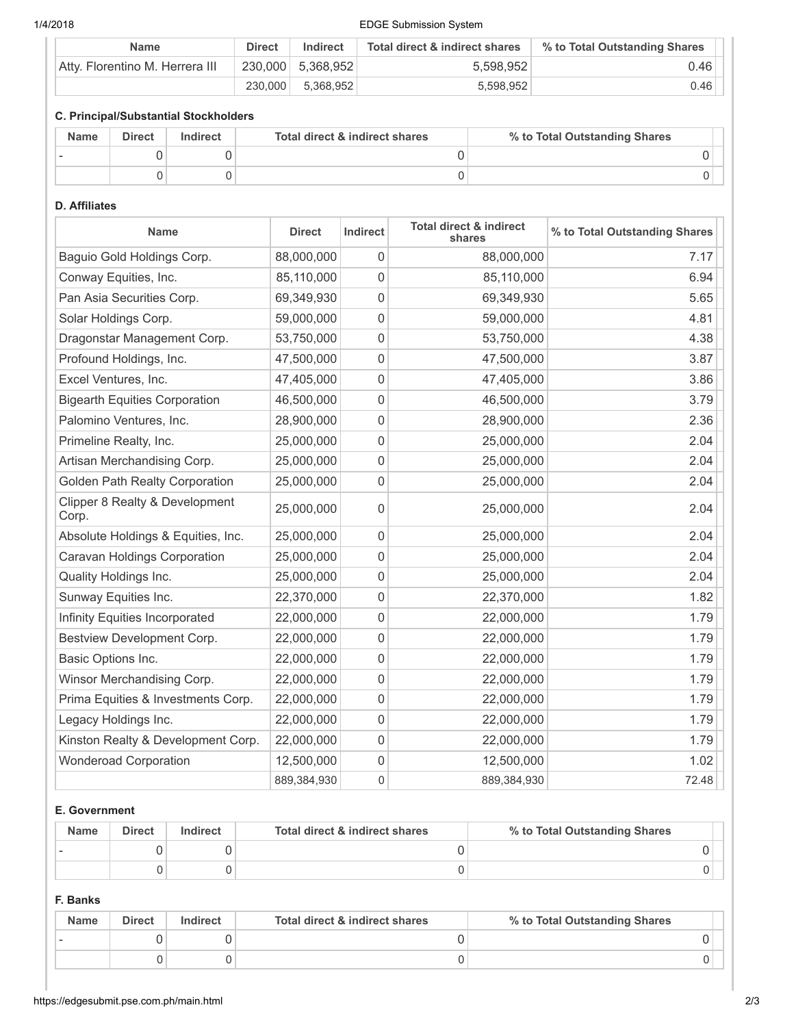# 1/4/2018 EDGE Submission System

| Name                            | <b>Direct</b> | Indirect          | Total direct & indirect shares | % to Total Outstanding Shares |
|---------------------------------|---------------|-------------------|--------------------------------|-------------------------------|
| Atty. Florentino M. Herrera III |               | 230,000 5,368,952 | 5,598,952                      | 0.46                          |
|                                 | 230,000       | 5.368.952         | 5.598.952                      | 0.46                          |

# C. Principal/Substantial Stockholders

| <b>Name</b> | <b>Direct</b> | Indirect | Total direct & indirect shares | % to Total Outstanding Shares |
|-------------|---------------|----------|--------------------------------|-------------------------------|
|             |               |          |                                |                               |
|             |               |          |                                |                               |

### D. Affiliates

| <b>Name</b>                             | <b>Direct</b> | Indirect            | <b>Total direct &amp; indirect</b><br>shares | % to Total Outstanding Shares |
|-----------------------------------------|---------------|---------------------|----------------------------------------------|-------------------------------|
| Baguio Gold Holdings Corp.              | 88,000,000    | 0                   | 88,000,000                                   | 7.17                          |
| Conway Equities, Inc.                   | 85,110,000    | 0                   | 85,110,000                                   | 6.94                          |
| Pan Asia Securities Corp.               | 69,349,930    | 0                   | 69,349,930                                   | 5.65                          |
| Solar Holdings Corp.                    | 59,000,000    | 0                   | 59,000,000                                   | 4.81                          |
| Dragonstar Management Corp.             | 53,750,000    | 0                   | 53,750,000                                   | 4.38                          |
| Profound Holdings, Inc.                 | 47,500,000    | $\mathbf 0$         | 47,500,000                                   | 3.87                          |
| Excel Ventures, Inc.                    | 47,405,000    | 0                   | 47,405,000                                   | 3.86                          |
| <b>Bigearth Equities Corporation</b>    | 46,500,000    | 0                   | 46,500,000                                   | 3.79                          |
| Palomino Ventures, Inc.                 | 28,900,000    | $\mathbf 0$         | 28,900,000                                   | 2.36                          |
| Primeline Realty, Inc.                  | 25,000,000    | 0                   | 25,000,000                                   | 2.04                          |
| Artisan Merchandising Corp.             | 25,000,000    | 0                   | 25,000,000                                   | 2.04                          |
| <b>Golden Path Realty Corporation</b>   | 25,000,000    | 0                   | 25,000,000                                   | 2.04                          |
| Clipper 8 Realty & Development<br>Corp. | 25,000,000    | 0                   | 25,000,000                                   | 2.04                          |
| Absolute Holdings & Equities, Inc.      | 25,000,000    | 0                   | 25,000,000                                   | 2.04                          |
| Caravan Holdings Corporation            | 25,000,000    | 0                   | 25,000,000                                   | 2.04                          |
| Quality Holdings Inc.                   | 25,000,000    | 0                   | 25,000,000                                   | 2.04                          |
| Sunway Equities Inc.                    | 22,370,000    | 0                   | 22,370,000                                   | 1.82                          |
| Infinity Equities Incorporated          | 22,000,000    | $\mathbf 0$         | 22,000,000                                   | 1.79                          |
| Bestview Development Corp.              | 22,000,000    | 0                   | 22,000,000                                   | 1.79                          |
| Basic Options Inc.                      | 22,000,000    | 0                   | 22,000,000                                   | 1.79                          |
| Winsor Merchandising Corp.              | 22,000,000    | 0                   | 22,000,000                                   | 1.79                          |
| Prima Equities & Investments Corp.      | 22,000,000    | 0                   | 22,000,000                                   | 1.79                          |
| Legacy Holdings Inc.                    | 22,000,000    | 0                   | 22,000,000                                   | 1.79                          |
| Kinston Realty & Development Corp.      | 22,000,000    | $\mathsf{O}\xspace$ | 22,000,000                                   | 1.79                          |
| <b>Wonderoad Corporation</b>            | 12,500,000    | 0                   | 12,500,000                                   | 1.02                          |
|                                         | 889,384,930   | $\mathbf 0$         | 889,384,930                                  | 72.48                         |

#### E. Government

| <b>Name</b> | <b>Direct</b> | Indirect | Total direct & indirect shares | % to Total Outstanding Shares |
|-------------|---------------|----------|--------------------------------|-------------------------------|
|             |               |          |                                |                               |
|             |               |          |                                |                               |

# F. Banks

| <b>Name</b> | <b>Direct</b> | Indirect | Total direct & indirect shares | % to Total Outstanding Shares |
|-------------|---------------|----------|--------------------------------|-------------------------------|
|             |               |          |                                |                               |
|             |               |          |                                |                               |